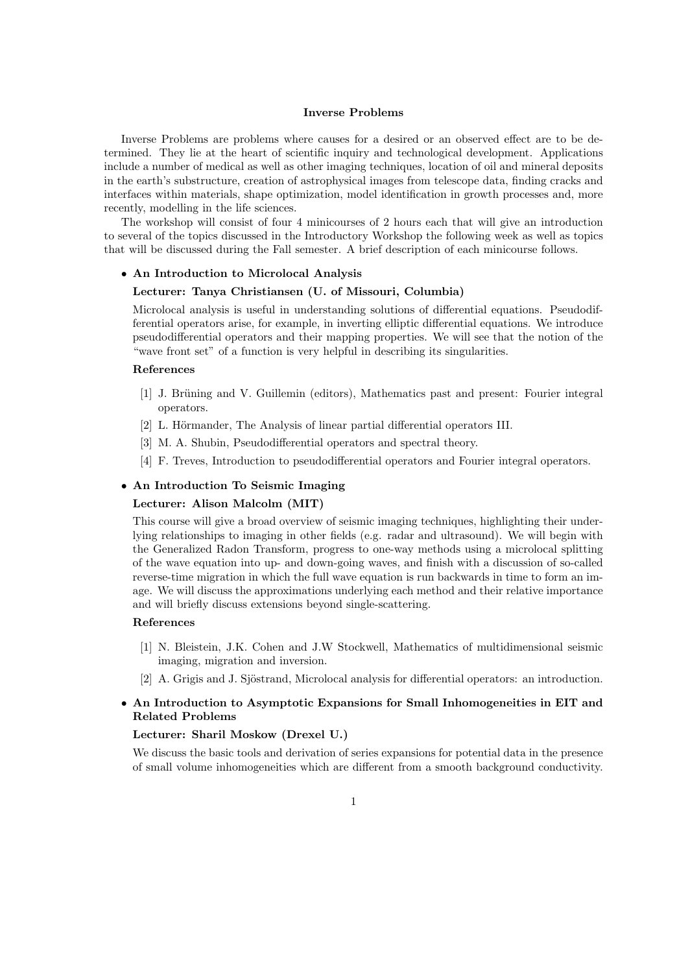## Inverse Problems

Inverse Problems are problems where causes for a desired or an observed effect are to be determined. They lie at the heart of scientific inquiry and technological development. Applications include a number of medical as well as other imaging techniques, location of oil and mineral deposits in the earth's substructure, creation of astrophysical images from telescope data, finding cracks and interfaces within materials, shape optimization, model identification in growth processes and, more recently, modelling in the life sciences.

The workshop will consist of four 4 minicourses of 2 hours each that will give an introduction to several of the topics discussed in the Introductory Workshop the following week as well as topics that will be discussed during the Fall semester. A brief description of each minicourse follows.

## • An Introduction to Microlocal Analysis

### Lecturer: Tanya Christiansen (U. of Missouri, Columbia)

Microlocal analysis is useful in understanding solutions of differential equations. Pseudodifferential operators arise, for example, in inverting elliptic differential equations. We introduce pseudodifferential operators and their mapping properties. We will see that the notion of the "wave front set" of a function is very helpful in describing its singularities.

## References

- [1] J. Brüning and V. Guillemin (editors), Mathematics past and present: Fourier integral operators.
- [2] L. Hörmander, The Analysis of linear partial differential operators III.
- [3] M. A. Shubin, Pseudodifferential operators and spectral theory.
- [4] F. Treves, Introduction to pseudodifferential operators and Fourier integral operators.

## • An Introduction To Seismic Imaging

## Lecturer: Alison Malcolm (MIT)

This course will give a broad overview of seismic imaging techniques, highlighting their underlying relationships to imaging in other fields (e.g. radar and ultrasound). We will begin with the Generalized Radon Transform, progress to one-way methods using a microlocal splitting of the wave equation into up- and down-going waves, and finish with a discussion of so-called reverse-time migration in which the full wave equation is run backwards in time to form an image. We will discuss the approximations underlying each method and their relative importance and will briefly discuss extensions beyond single-scattering.

#### References

- [1] N. Bleistein, J.K. Cohen and J.W Stockwell, Mathematics of multidimensional seismic imaging, migration and inversion.
- [2] A. Grigis and J. Sjöstrand, Microlocal analysis for differential operators: an introduction.

# • An Introduction to Asymptotic Expansions for Small Inhomogeneities in EIT and Related Problems

#### Lecturer: Sharil Moskow (Drexel U.)

We discuss the basic tools and derivation of series expansions for potential data in the presence of small volume inhomogeneities which are different from a smooth background conductivity.